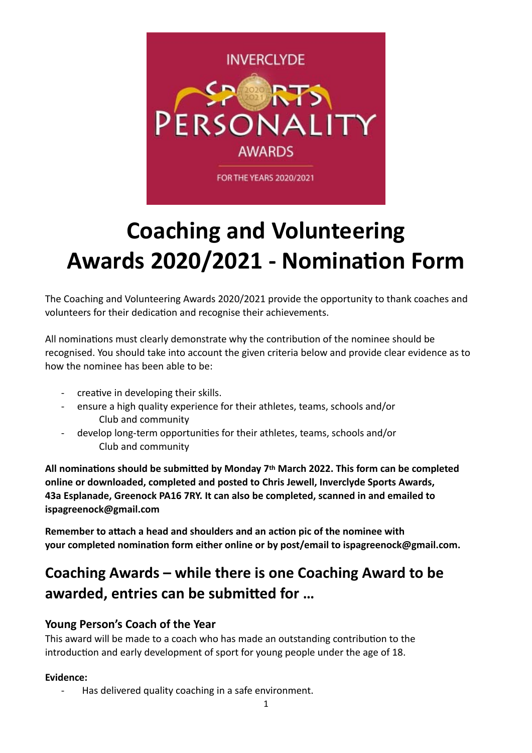

# **Coaching and Volunteering Awards 2020/2021 - Nomination Form**

The Coaching and Volunteering Awards 2020/2021 provide the opportunity to thank coaches and volunteers for their dedication and recognise their achievements.

All nominations must clearly demonstrate why the contribution of the nominee should be recognised. You should take into account the given criteria below and provide clear evidence as to how the nominee has been able to be:

- creative in developing their skills.
- ensure a high quality experience for their athletes, teams, schools and/or Club and community
- develop long-term opportunities for their athletes, teams, schools and/or Club and community

All nominations should be submitted by Monday 7<sup>th</sup> March 2022. This form can be completed **online or downloaded, completed and posted to Chris Jewell, Inverclyde Sports Awards, 43a Esplanade, Greenock PA16 7RY. It can also be completed, scanned in and emailed to ispagreenock@gmail.com** 

**Remember to attach a head and shoulders and an action pic of the nominee with** your completed nomination form either online or by post/email to ispagreenock@gmail.com.

# **Coaching Awards – while there is one Coaching Award to be**  awarded, entries can be submitted for ...

# **Young Person's Coach of the Year**

This award will be made to a coach who has made an outstanding contribution to the introduction and early development of sport for young people under the age of 18.

# **Evidence:**

- Has delivered quality coaching in a safe environment.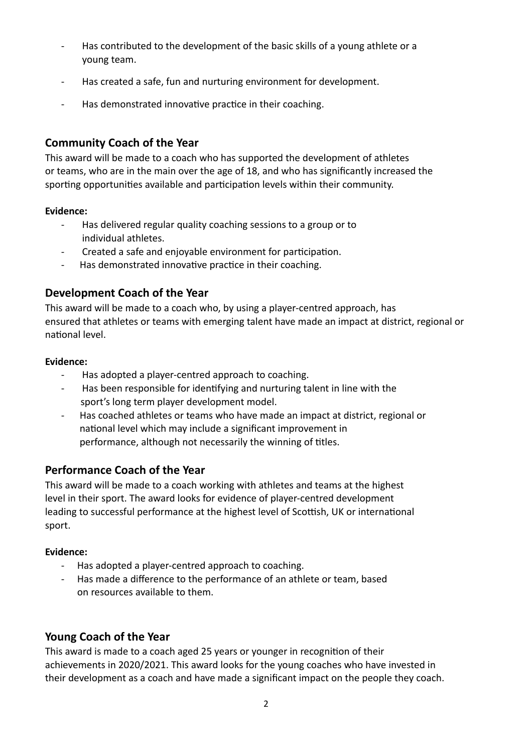- Has contributed to the development of the basic skills of a young athlete or a young team.
- Has created a safe, fun and nurturing environment for development.
- Has demonstrated innovative practice in their coaching.

# **Community Coach of the Year**

This award will be made to a coach who has supported the development of athletes or teams, who are in the main over the age of 18, and who has significantly increased the sporting opportunities available and participation levels within their community.

# **Evidence:**

- -Has delivered regular quality coaching sessions to a group or to individual athletes.
- Created a safe and enjoyable environment for participation.
- Has demonstrated innovative practice in their coaching.

# **Development Coach of the Year**

This award will be made to a coach who, by using a player-centred approach, has ensured that athletes or teams with emerging talent have made an impact at district, regional or national level

#### **Evidence:**

- Has adopted a player-centred approach to coaching.
- Has been responsible for identifying and nurturing talent in line with the sport's long term player development model.
- Has coached athletes or teams who have made an impact at district, regional or national level which may include a significant improvement in performance, although not necessarily the winning of titles.

# **Performance Coach of the Year**

This award will be made to a coach working with athletes and teams at the highest level in their sport. The award looks for evidence of player-centred development leading to successful performance at the highest level of Scottish, UK or international sport.

# **Evidence:**

- Has adopted a player-centred approach to coaching.
- Has made a difference to the performance of an athlete or team, based on resources available to them.

# **Young Coach of the Year**

This award is made to a coach aged 25 years or younger in recognition of their achievements in 2020/2021. This award looks for the young coaches who have invested in their development as a coach and have made a significant impact on the people they coach.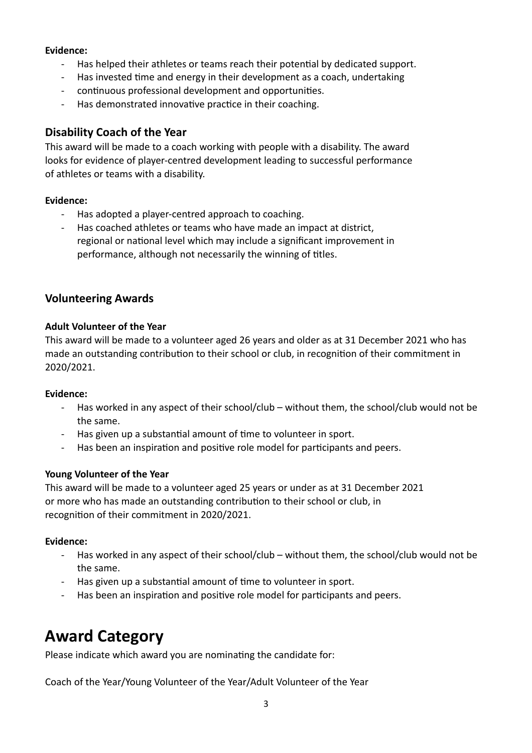#### **Evidence:**

- Has helped their athletes or teams reach their potential by dedicated support.
- Has invested time and energy in their development as a coach, undertaking
- continuous professional development and opportunities.
- Has demonstrated innovative practice in their coaching.

# **Disability Coach of the Year**

This award will be made to a coach working with people with a disability. The award looks for evidence of player-centred development leading to successful performance of athletes or teams with a disability.

#### **Evidence:**

- Has adopted a player-centred approach to coaching.
- Has coached athletes or teams who have made an impact at district, regional or national level which may include a significant improvement in performance, although not necessarily the winning of titles.

# **Volunteering Awards**

#### **Adult Volunteer of the Year**

This award will be made to a volunteer aged 26 years and older as at 31 December 2021 who has made an outstanding contribution to their school or club, in recognition of their commitment in 2020/2021.

#### **Evidence:**

- Has worked in any aspect of their school/club without them, the school/club would not be the same.
- Has given up a substantial amount of time to volunteer in sport.
- Has been an inspiration and positive role model for participants and peers.

# **Young Volunteer of the Year**

This award will be made to a volunteer aged 25 years or under as at 31 December 2021 or more who has made an outstanding contribution to their school or club, in recognition of their commitment in 2020/2021.

#### **Evidence:**

- Has worked in any aspect of their school/club without them, the school/club would not be the same.
- Has given up a substantial amount of time to volunteer in sport.
- Has been an inspiration and positive role model for participants and peers.

# **Award Category**

Please indicate which award you are nominating the candidate for:

Coach of the Year/Young Volunteer of the Year/Adult Volunteer of the Year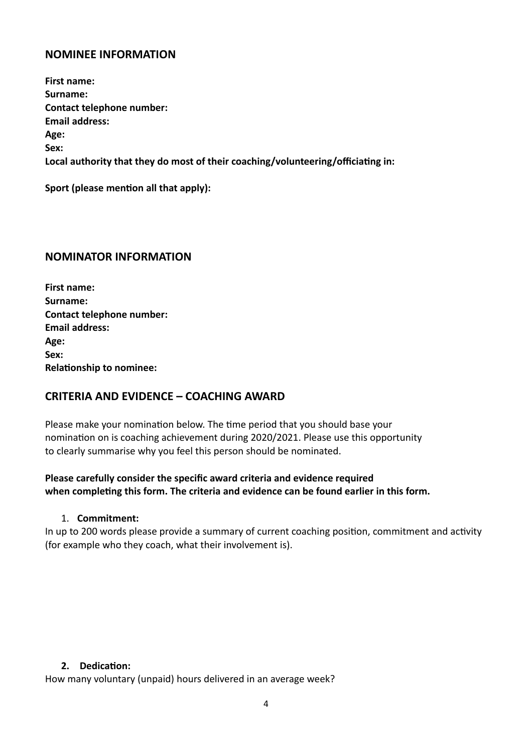# **NOMINEE INFORMATION**

**First name: Surname: Contact telephone number: Email address: Age: Sex:**  Local authority that they do most of their coaching/volunteering/officiating in:

**Sport (please mention all that apply):** 

# **NOMINATOR INFORMATION**

**First name: Surname: Contact telephone number: Email address: Age: Sex: Relationship to nominee:** 

# **CRITERIA AND EVIDENCE – COACHING AWARD**

Please make your nomination below. The time period that you should base your nomination on is coaching achievement during 2020/2021. Please use this opportunity to clearly summarise why you feel this person should be nominated.

# **Please carefully consider the specific award criteria and evidence required**  when completing this form. The criteria and evidence can be found earlier in this form.

#### 1. **Commitment:**

In up to 200 words please provide a summary of current coaching position, commitment and activity (for example who they coach, what their involvement is).

#### 2. Dedication:

How many voluntary (unpaid) hours delivered in an average week?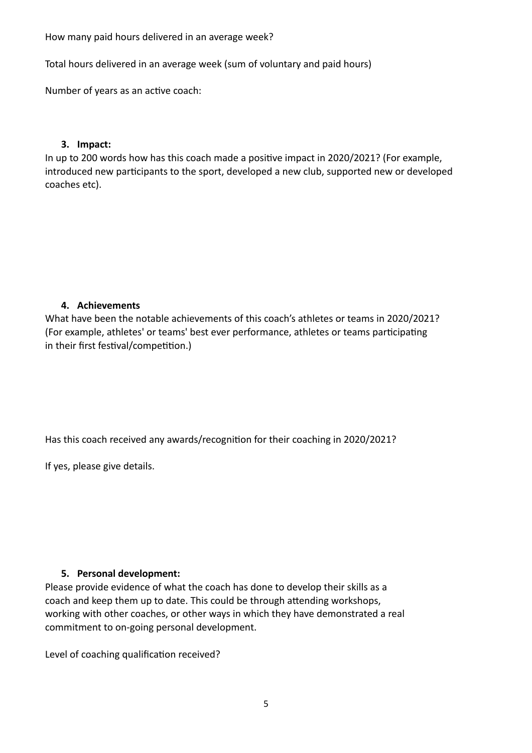How many paid hours delivered in an average week?

Total hours delivered in an average week (sum of voluntary and paid hours)

Number of years as an active coach:

#### **3. Impact:**

In up to 200 words how has this coach made a positive impact in 2020/2021? (For example, introduced new participants to the sport, developed a new club, supported new or developed coaches etc).

#### **4. Achievements**

What have been the notable achievements of this coach's athletes or teams in 2020/2021? (For example, athletes' or teams' best ever performance, athletes or teams participating in their first festival/competition.)

Has this coach received any awards/recognition for their coaching in 2020/2021?

If yes, please give details.

#### **5. Personal development:**

Please provide evidence of what the coach has done to develop their skills as a coach and keep them up to date. This could be through attending workshops, working with other coaches, or other ways in which they have demonstrated a real commitment to on-going personal development.

Level of coaching qualification received?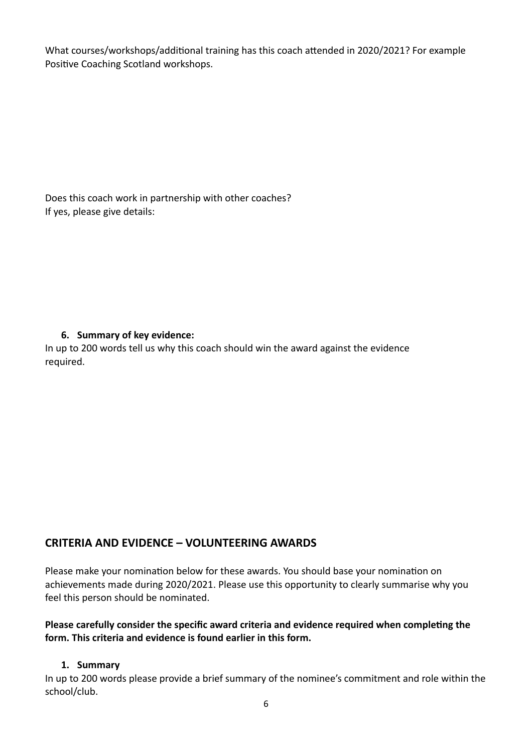What courses/workshops/additional training has this coach attended in 2020/2021? For example Positive Coaching Scotland workshops.

Does this coach work in partnership with other coaches? If yes, please give details:

# **6. Summary of key evidence:**

In up to 200 words tell us why this coach should win the award against the evidence required.

# **CRITERIA AND EVIDENCE – VOLUNTEERING AWARDS**

Please make your nomination below for these awards. You should base your nomination on achievements made during 2020/2021. Please use this opportunity to clearly summarise why you feel this person should be nominated.

# Please carefully consider the specific award criteria and evidence required when completing the **form. This criteria and evidence is found earlier in this form.**

# **1. Summary**

In up to 200 words please provide a brief summary of the nominee's commitment and role within the school/club.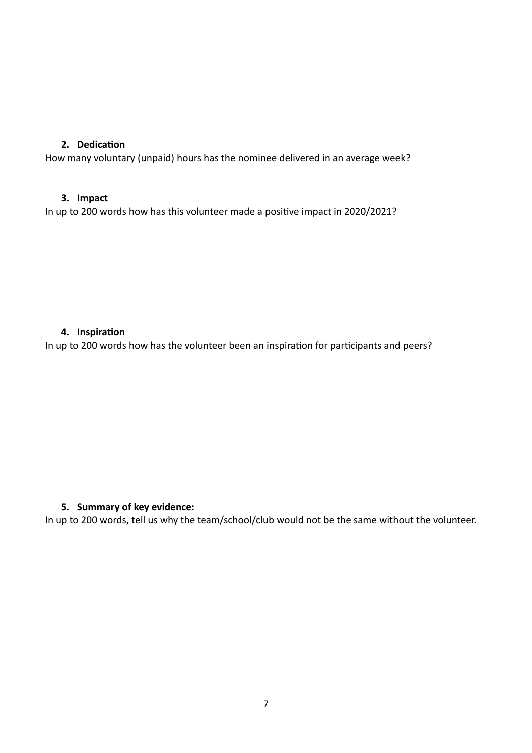# **2.** Dedication

How many voluntary (unpaid) hours has the nominee delivered in an average week?

#### **3. Impact**

In up to 200 words how has this volunteer made a positive impact in 2020/2021?

### **4.** Inspiration

In up to 200 words how has the volunteer been an inspiration for participants and peers?

# **5. Summary of key evidence:**

In up to 200 words, tell us why the team/school/club would not be the same without the volunteer.